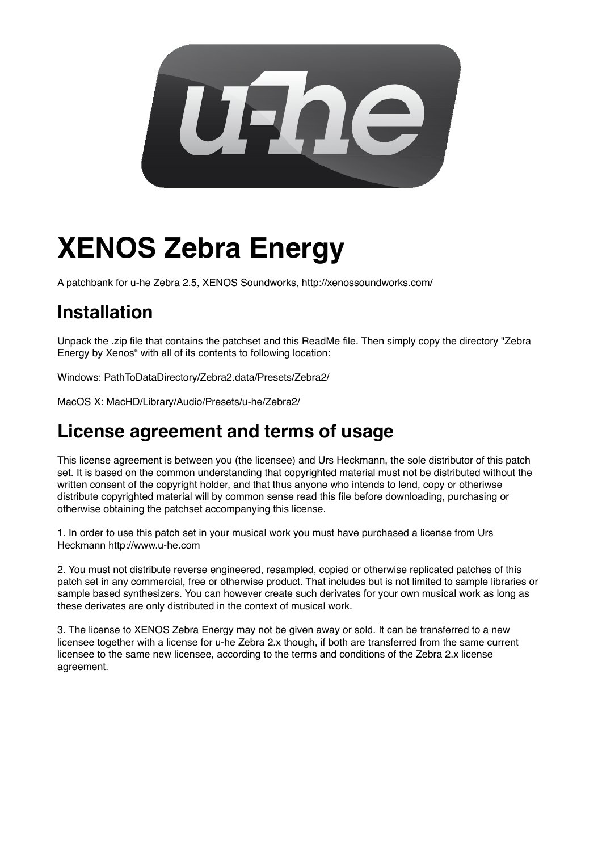

# **XENOS Zebra Energy**

A patchbank for u-he Zebra 2.5, XENOS Soundworks, http://xenossoundworks.com/

# **Installation**

Unpack the .zip file that contains the patchset and this ReadMe file. Then simply copy the directory "Zebra Energy by Xenos" with all of its contents to following location:

Windows: PathToDataDirectory/Zebra2.data/Presets/Zebra2/

MacOS X: MacHD/Library/Audio/Presets/u-he/Zebra2/

## **License agreement and terms of usage**

This license agreement is between you (the licensee) and Urs Heckmann, the sole distributor of this patch set. It is based on the common understanding that copyrighted material must not be distributed without the written consent of the copyright holder, and that thus anyone who intends to lend, copy or otheriwse distribute copyrighted material will by common sense read this file before downloading, purchasing or otherwise obtaining the patchset accompanying this license.

1. In order to use this patch set in your musical work you must have purchased a license from Urs Heckmann http://www.u-he.com

2. You must not distribute reverse engineered, resampled, copied or otherwise replicated patches of this patch set in any commercial, free or otherwise product. That includes but is not limited to sample libraries or sample based synthesizers. You can however create such derivates for your own musical work as long as these derivates are only distributed in the context of musical work.

3. The license to XENOS Zebra Energy may not be given away or sold. It can be transferred to a new licensee together with a license for u-he Zebra 2.x though, if both are transferred from the same current licensee to the same new licensee, according to the terms and conditions of the Zebra 2.x license agreement.